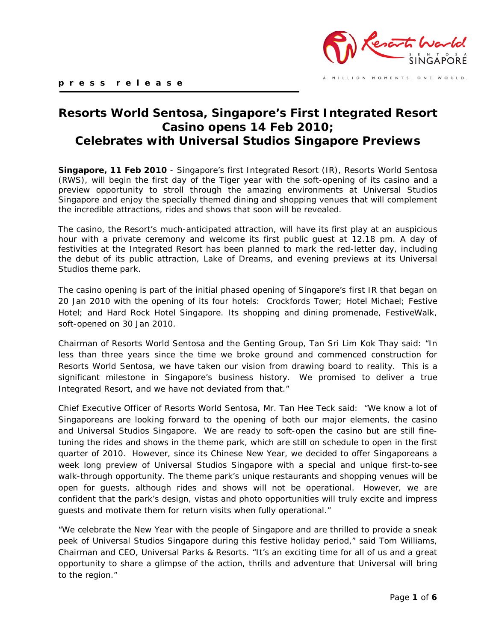

MILLION MOMENTS. ONE WORLD.

# **Resorts World Sentosa, Singapore's First Integrated Resort Casino opens 14 Feb 2010; Celebrates with Universal Studios Singapore Previews**

**Singapore, 11 Feb 2010** - Singapore's first Integrated Resort (IR), Resorts World Sentosa (RWS), will begin the first day of the Tiger year with the soft-opening of its casino and a preview opportunity to stroll through the amazing environments at Universal Studios Singapore and enjoy the specially themed dining and shopping venues that will complement the incredible attractions, rides and shows that soon will be revealed.

The casino, the Resort's much-anticipated attraction, will have its first play at an auspicious hour with a private ceremony and welcome its first public guest at 12.18 pm. A day of festivities at the Integrated Resort has been planned to mark the red-letter day, including the debut of its public attraction, Lake of Dreams, and evening previews at its Universal Studios theme park.

The casino opening is part of the initial phased opening of Singapore's first IR that began on 20 Jan 2010 with the opening of its four hotels: Crockfords Tower; Hotel Michael; Festive Hotel; and Hard Rock Hotel Singapore. Its shopping and dining promenade, FestiveWalk, soft-opened on 30 Jan 2010.

Chairman of Resorts World Sentosa and the Genting Group, Tan Sri Lim Kok Thay said: "In less than three years since the time we broke ground and commenced construction for Resorts World Sentosa, we have taken our vision from drawing board to reality. This is a significant milestone in Singapore's business history. We promised to deliver a true Integrated Resort, and we have not deviated from that."

Chief Executive Officer of Resorts World Sentosa, Mr. Tan Hee Teck said: "We know a lot of Singaporeans are looking forward to the opening of both our major elements, the casino and Universal Studios Singapore. We are ready to soft-open the casino but are still finetuning the rides and shows in the theme park, which are still on schedule to open in the first quarter of 2010. However, since its Chinese New Year, we decided to offer Singaporeans a week long preview of Universal Studios Singapore with a special and unique first-to-see walk-through opportunity. The theme park's unique restaurants and shopping venues will be open for guests, although rides and shows will not be operational. However, we are confident that the park's design, vistas and photo opportunities will truly excite and impress guests and motivate them for return visits when fully operational."

"We celebrate the New Year with the people of Singapore and are thrilled to provide a sneak peek of Universal Studios Singapore during this festive holiday period," said Tom Williams, Chairman and CEO, Universal Parks & Resorts. "It's an exciting time for all of us and a great opportunity to share a glimpse of the action, thrills and adventure that Universal will bring to the region."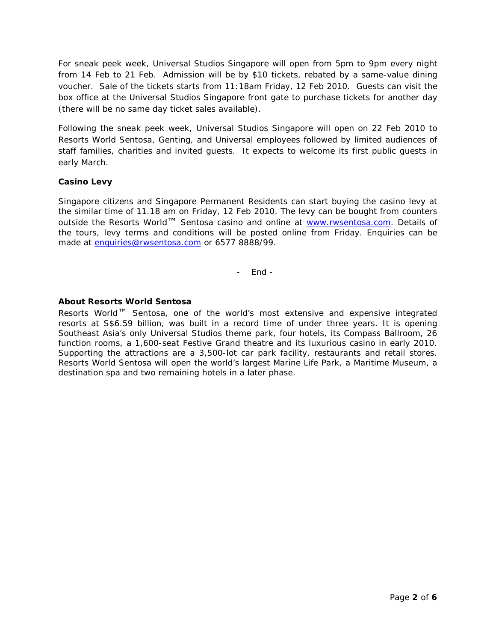For sneak peek week, Universal Studios Singapore will open from 5pm to 9pm every night from 14 Feb to 21 Feb. Admission will be by \$10 tickets, rebated by a same-value dining voucher. Sale of the tickets starts from 11:18am Friday, 12 Feb 2010. Guests can visit the box office at the Universal Studios Singapore front gate to purchase tickets for another day (there will be no same day ticket sales available).

Following the sneak peek week, Universal Studios Singapore will open on 22 Feb 2010 to Resorts World Sentosa, Genting, and Universal employees followed by limited audiences of staff families, charities and invited guests. It expects to welcome its first public guests in early March.

## **Casino Levy**

Singapore citizens and Singapore Permanent Residents can start buying the casino levy at the similar time of 11.18 am on Friday, 12 Feb 2010. The levy can be bought from counters outside the Resorts World™ Sentosa casino and online at [www.rwsentosa.com.](http://www.rwsentosa.com/) Details of the tours, levy terms and conditions will be posted online from Friday. Enquiries can be made at [enquiries@rwsentosa.com](mailto:enquiries@rwsentosa.com) or 6577 8888/99.

- End -

## **About Resorts World Sentosa**

Resorts World™ Sentosa, one of the world's most extensive and expensive integrated resorts at S\$6.59 billion, was built in a record time of under three years. It is opening Southeast Asia's only Universal Studios theme park, four hotels, its Compass Ballroom, 26 function rooms, a 1,600-seat Festive Grand theatre and its luxurious casino in early 2010. Supporting the attractions are a 3,500-lot car park facility, restaurants and retail stores. Resorts World Sentosa will open the world's largest Marine Life Park, a Maritime Museum, a destination spa and two remaining hotels in a later phase.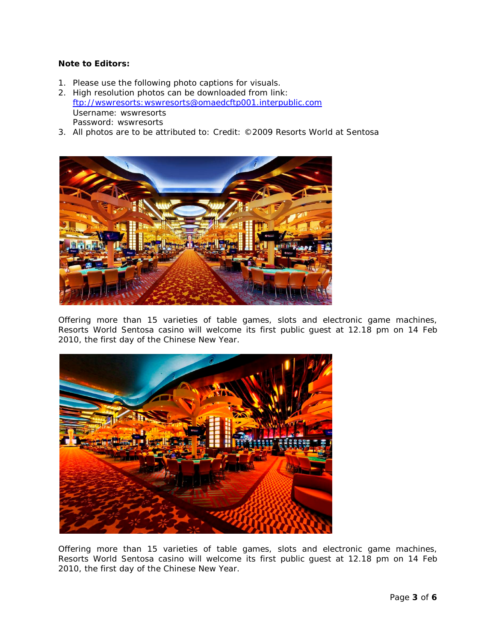#### **Note to Editors:**

- 1. Please use the following photo captions for visuals.
- 2. High resolution photos can be downloaded from link: [ftp://wswresorts:wswresorts@omaedcftp001.interpublic.com](ftp://wswresorts:wswresorts@omaedcftp001.interpublic.com/) *Username: wswresorts Password: wswresorts*
- 3. All photos are to be attributed to: Credit: ©2009 Resorts World at Sentosa



Offering more than 15 varieties of table games, slots and electronic game machines, Resorts World Sentosa casino will welcome its first public guest at 12.18 pm on 14 Feb 2010, the first day of the Chinese New Year.



Offering more than 15 varieties of table games, slots and electronic game machines, Resorts World Sentosa casino will welcome its first public guest at 12.18 pm on 14 Feb 2010, the first day of the Chinese New Year.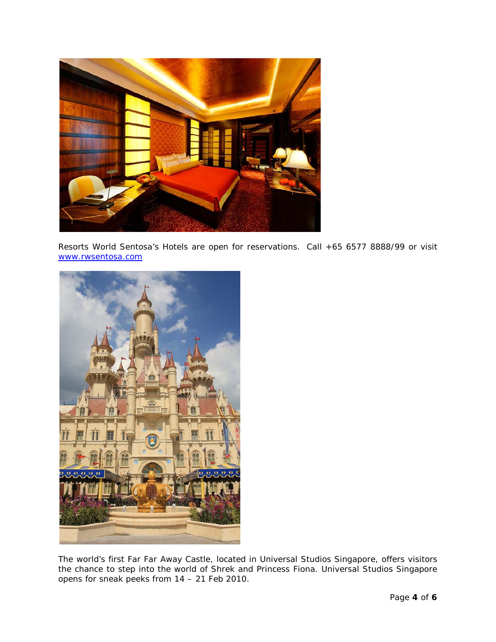

Resorts World Sentosa's Hotels are open for reservations. Call +65 6577 8888/99 or visit [www.rwsentosa.com](http://www.rwsentosa.com/)



The world's first Far Far Away Castle, located in Universal Studios Singapore, offers visitors the chance to step into the world of Shrek and Princess Fiona. Universal Studios Singapore opens for sneak peeks from 14 – 21 Feb 2010.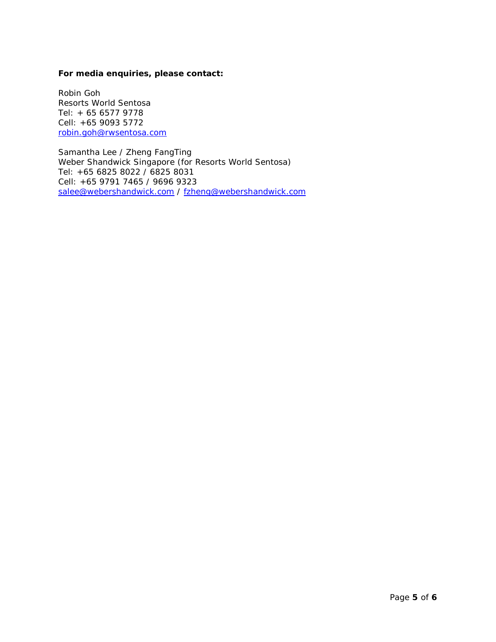#### **For media enquiries, please contact:**

Robin Goh Resorts World Sentosa Tel: + 65 6577 9778 Cell: +65 9093 5772 [robin.goh@rwsentosa.com](mailto:robin.goh@rwsentosa.com)

Samantha Lee / Zheng FangTing Weber Shandwick Singapore (for Resorts World Sentosa) Tel: +65 6825 8022 / 6825 8031 Cell: +65 9791 7465 / 9696 9323 [salee@webershandwick.com](mailto:salee@webershandwick.com) / [fzheng@webershandwick.com](mailto:fzheng@webershandwick.com)